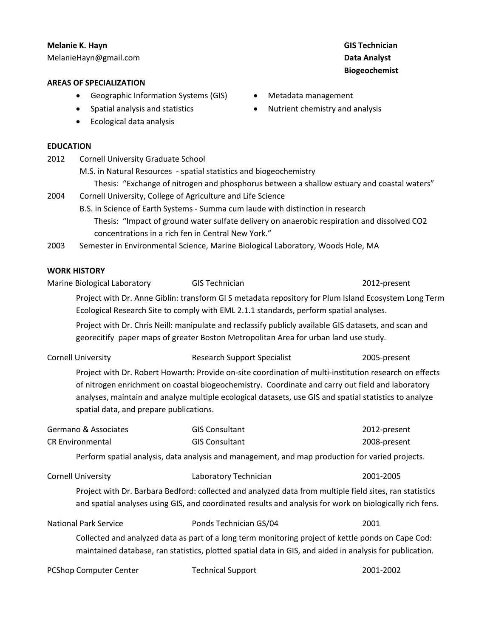# **Melanie K. Hayn** MelanieHayn@gmail.com

## **AREAS OF SPECIALIZATION**

- Geographic Information Systems (GIS)
- Spatial analysis and statistics
- Ecological data analysis

## **EDUCATION**

| 2012                    | <b>Cornell University Graduate School</b>                                                                                                      |                                                                                                                                                                                                                                                                                                                      |                                                                                 |  |  |
|-------------------------|------------------------------------------------------------------------------------------------------------------------------------------------|----------------------------------------------------------------------------------------------------------------------------------------------------------------------------------------------------------------------------------------------------------------------------------------------------------------------|---------------------------------------------------------------------------------|--|--|
|                         | M.S. in Natural Resources - spatial statistics and biogeochemistry                                                                             |                                                                                                                                                                                                                                                                                                                      |                                                                                 |  |  |
|                         | Thesis: "Exchange of nitrogen and phosphorus between a shallow estuary and coastal waters"                                                     |                                                                                                                                                                                                                                                                                                                      |                                                                                 |  |  |
| 2004                    | Cornell University, College of Agriculture and Life Science<br>B.S. in Science of Earth Systems - Summa cum laude with distinction in research |                                                                                                                                                                                                                                                                                                                      |                                                                                 |  |  |
|                         |                                                                                                                                                |                                                                                                                                                                                                                                                                                                                      |                                                                                 |  |  |
|                         | 2003                                                                                                                                           |                                                                                                                                                                                                                                                                                                                      | Semester in Environmental Science, Marine Biological Laboratory, Woods Hole, MA |  |  |
|                         | <b>WORK HISTORY</b>                                                                                                                            |                                                                                                                                                                                                                                                                                                                      |                                                                                 |  |  |
|                         | Marine Biological Laboratory                                                                                                                   | <b>GIS Technician</b>                                                                                                                                                                                                                                                                                                | 2012-present                                                                    |  |  |
|                         |                                                                                                                                                | Project with Dr. Anne Giblin: transform GI S metadata repository for Plum Island Ecosystem Long Term<br>Ecological Research Site to comply with EML 2.1.1 standards, perform spatial analyses.                                                                                                                       |                                                                                 |  |  |
|                         |                                                                                                                                                | Project with Dr. Chris Neill: manipulate and reclassify publicly available GIS datasets, and scan and                                                                                                                                                                                                                |                                                                                 |  |  |
|                         |                                                                                                                                                | georecitify paper maps of greater Boston Metropolitan Area for urban land use study.                                                                                                                                                                                                                                 |                                                                                 |  |  |
|                         | <b>Cornell University</b>                                                                                                                      | <b>Research Support Specialist</b>                                                                                                                                                                                                                                                                                   | 2005-present                                                                    |  |  |
|                         | spatial data, and prepare publications.                                                                                                        | Project with Dr. Robert Howarth: Provide on-site coordination of multi-institution research on effects<br>of nitrogen enrichment on coastal biogeochemistry. Coordinate and carry out field and laboratory<br>analyses, maintain and analyze multiple ecological datasets, use GIS and spatial statistics to analyze |                                                                                 |  |  |
| Germano & Associates    |                                                                                                                                                | <b>GIS Consultant</b>                                                                                                                                                                                                                                                                                                | 2012-present                                                                    |  |  |
| <b>CR Environmental</b> |                                                                                                                                                | <b>GIS Consultant</b>                                                                                                                                                                                                                                                                                                | 2008-present                                                                    |  |  |
|                         |                                                                                                                                                | Perform spatial analysis, data analysis and management, and map production for varied projects.                                                                                                                                                                                                                      |                                                                                 |  |  |
|                         | <b>Cornell University</b>                                                                                                                      | Laboratory Technician                                                                                                                                                                                                                                                                                                | 2001-2005                                                                       |  |  |

Project with Dr. Barbara Bedford: collected and analyzed data from multiple field sites, ran statistics and spatial analyses using GIS, and coordinated results and analysis for work on biologically rich fens.

National Park Service Ponds Technician GS/04 2001 Collected and analyzed data as part of a long term monitoring project of kettle ponds on Cape Cod: maintained database, ran statistics, plotted spatial data in GIS, and aided in analysis for publication.

| PCShop Computer Center | <b>Technical Support</b> | 2001-2002 |
|------------------------|--------------------------|-----------|
|------------------------|--------------------------|-----------|

## **GIS Technician Data Analyst Biogeochemist**

- Metadata management
- Nutrient chemistry and analysis